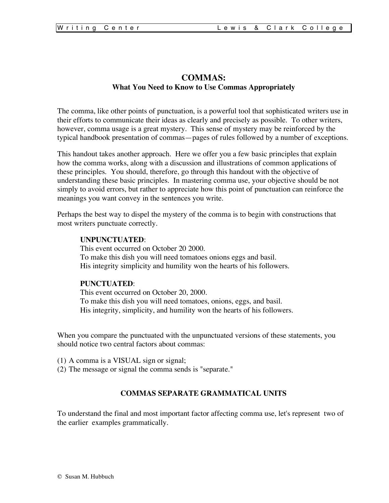# **COMMAS: What You Need to Know to Use Commas Appropriately**

The comma, like other points of punctuation, is a powerful tool that sophisticated writers use in their efforts to communicate their ideas as clearly and precisely as possible. To other writers, however, comma usage is a great mystery. This sense of mystery may be reinforced by the typical handbook presentation of commas—pages of rules followed by a number of exceptions.

This handout takes another approach. Here we offer you a few basic principles that explain how the comma works, along with a discussion and illustrations of common applications of these principles. You should, therefore, go through this handout with the objective of understanding these basic principles. In mastering comma use, your objective should be not simply to avoid errors, but rather to appreciate how this point of punctuation can reinforce the meanings you want convey in the sentences you write.

Perhaps the best way to dispel the mystery of the comma is to begin with constructions that most writers punctuate correctly.

#### **UNPUNCTUATED**:

This event occurred on October 20 2000. To make this dish you will need tomatoes onions eggs and basil. His integrity simplicity and humility won the hearts of his followers.

#### **PUNCTUATED**:

This event occurred on October 20, 2000. To make this dish you will need tomatoes, onions, eggs, and basil. His integrity, simplicity, and humility won the hearts of his followers.

When you compare the punctuated with the unpunctuated versions of these statements, you should notice two central factors about commas:

- (1) A comma is a VISUAL sign or signal;
- (2) The message or signal the comma sends is "separate."

#### **COMMAS SEPARATE GRAMMATICAL UNITS**

To understand the final and most important factor affecting comma use, let's represent two of the earlier examples grammatically.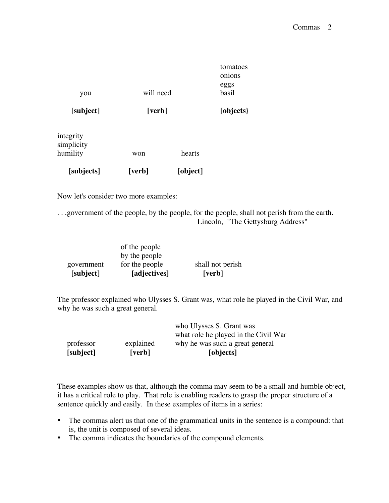|           |           | tomatoes<br>onions |
|-----------|-----------|--------------------|
| you       | will need | eggs<br>basil      |
| [subject] | [verb]    | [objects]          |
| integrity |           |                    |

| [subjects] | [verb] | [object] |
|------------|--------|----------|
| humility   | won    | hearts   |
| simplicity |        |          |

Now let's consider two more examples:

. . .government of the people, by the people, for the people, shall not perish from the earth. Lincoln, "The Gettysburg Address"

| [subject]  | [adjectives]                    | [verb]           |
|------------|---------------------------------|------------------|
| government | by the people<br>for the people | shall not perish |
|            | of the people                   |                  |

The professor explained who Ulysses S. Grant was, what role he played in the Civil War, and why he was such a great general.

| [subject] | [verb]    | [objects]                                                               |
|-----------|-----------|-------------------------------------------------------------------------|
| professor | explained | what role he played in the Civil War<br>why he was such a great general |
|           |           | who Ulysses S. Grant was                                                |

These examples show us that, although the comma may seem to be a small and humble object, it has a critical role to play. That role is enabling readers to grasp the proper structure of a sentence quickly and easily. In these examples of items in a series:

- The commas alert us that one of the grammatical units in the sentence is a compound: that is, the unit is composed of several ideas.
- The comma indicates the boundaries of the compound elements.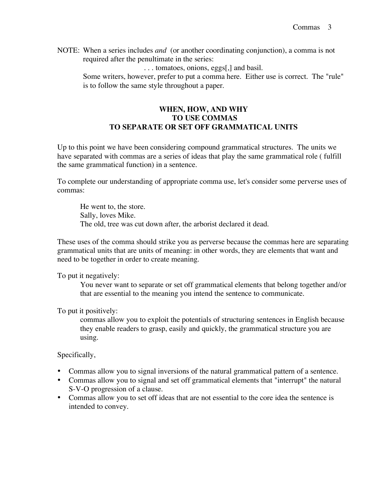NOTE: When a series includes *and* (or another coordinating conjunction), a comma is not required after the penultimate in the series:

. . . tomatoes, onions, eggs[,] and basil.

Some writers, however, prefer to put a comma here. Either use is correct. The "rule" is to follow the same style throughout a paper.

# **WHEN, HOW, AND WHY TO USE COMMAS TO SEPARATE OR SET OFF GRAMMATICAL UNITS**

Up to this point we have been considering compound grammatical structures. The units we have separated with commas are a series of ideas that play the same grammatical role ( fulfill the same grammatical function) in a sentence.

To complete our understanding of appropriate comma use, let's consider some perverse uses of commas:

He went to, the store. Sally, loves Mike. The old, tree was cut down after, the arborist declared it dead.

These uses of the comma should strike you as perverse because the commas here are separating grammatical units that are units of meaning: in other words, they are elements that want and need to be together in order to create meaning.

To put it negatively:

You never want to separate or set off grammatical elements that belong together and/or that are essential to the meaning you intend the sentence to communicate.

To put it positively:

commas allow you to exploit the potentials of structuring sentences in English because they enable readers to grasp, easily and quickly, the grammatical structure you are using.

Specifically,

- Commas allow you to signal inversions of the natural grammatical pattern of a sentence.
- Commas allow you to signal and set off grammatical elements that "interrupt" the natural S-V-O progression of a clause.
- Commas allow you to set off ideas that are not essential to the core idea the sentence is intended to convey.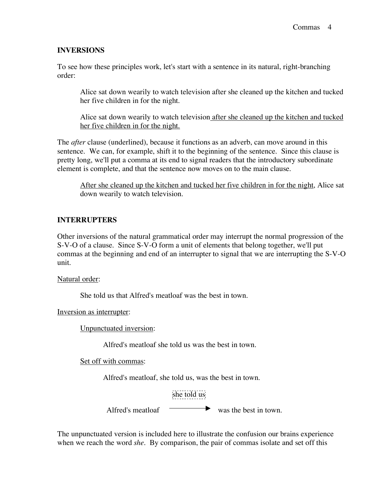### **INVERSIONS**

To see how these principles work, let's start with a sentence in its natural, right-branching order:

Alice sat down wearily to watch television after she cleaned up the kitchen and tucked her five children in for the night.

Alice sat down wearily to watch television after she cleaned up the kitchen and tucked her five children in for the night.

The *after* clause (underlined), because it functions as an adverb, can move around in this sentence. We can, for example, shift it to the beginning of the sentence. Since this clause is pretty long, we'll put a comma at its end to signal readers that the introductory subordinate element is complete, and that the sentence now moves on to the main clause.

After she cleaned up the kitchen and tucked her five children in for the night, Alice sat down wearily to watch television.

# **INTERRUPTERS**

Other inversions of the natural grammatical order may interrupt the normal progression of the S-V-O of a clause. Since S-V-O form a unit of elements that belong together, we'll put commas at the beginning and end of an interrupter to signal that we are interrupting the S-V-O unit.

Natural order:

She told us that Alfred's meatloaf was the best in town.

Inversion as interrupter:

Unpunctuated inversion:

Alfred's meatloaf she told us was the best in town.

Set off with commas:

Alfred's meatloaf, she told us, was the best in town.



Alfred's meatloaf was the best in town.

The unpunctuated version is included here to illustrate the confusion our brains experience when we reach the word *she*. By comparison, the pair of commas isolate and set off this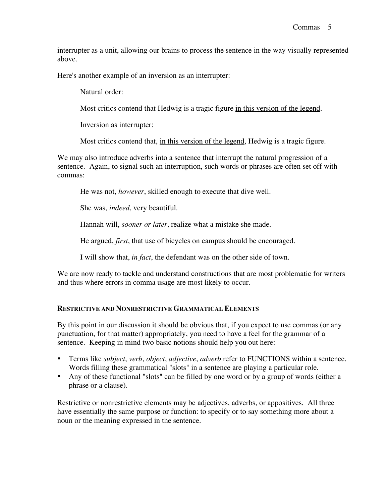interrupter as a unit, allowing our brains to process the sentence in the way visually represented above.

Here's another example of an inversion as an interrupter:

### Natural order:

Most critics contend that Hedwig is a tragic figure in this version of the legend.

Inversion as interrupter:

Most critics contend that, in this version of the legend, Hedwig is a tragic figure.

We may also introduce adverbs into a sentence that interrupt the natural progression of a sentence. Again, to signal such an interruption, such words or phrases are often set off with commas:

He was not, *however*, skilled enough to execute that dive well.

She was, *indeed*, very beautiful.

Hannah will, *sooner or later*, realize what a mistake she made.

He argued, *first*, that use of bicycles on campus should be encouraged.

I will show that, *in fact*, the defendant was on the other side of town.

We are now ready to tackle and understand constructions that are most problematic for writers and thus where errors in comma usage are most likely to occur.

### **RESTRICTIVE AND NONRESTRICTIVE GRAMMATICAL ELEMENTS**

By this point in our discussion it should be obvious that, if you expect to use commas (or any punctuation, for that matter) appropriately, you need to have a feel for the grammar of a sentence. Keeping in mind two basic notions should help you out here:

- Terms like *subject*, *verb*, *object*, *adjective*, *adverb* refer to FUNCTIONS within a sentence. Words filling these grammatical "slots" in a sentence are playing a particular role.
- Any of these functional "slots" can be filled by one word or by a group of words (either a phrase or a clause).

Restrictive or nonrestrictive elements may be adjectives, adverbs, or appositives. All three have essentially the same purpose or function: to specify or to say something more about a noun or the meaning expressed in the sentence.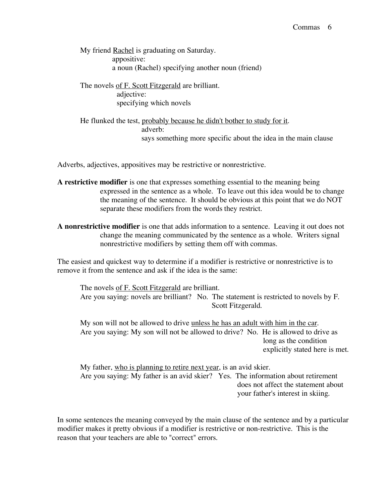My friend **Rachel** is graduating on Saturday. appositive: a noun (Rachel) specifying another noun (friend)

The novels of F. Scott Fitzgerald are brilliant. adjective: specifying which novels

He flunked the test, probably because he didn't bother to study for it. adverb: says something more specific about the idea in the main clause

Adverbs, adjectives, appositives may be restrictive or nonrestrictive.

- **A restrictive modifier** is one that expresses something essential to the meaning being expressed in the sentence as a whole. To leave out this idea would be to change the meaning of the sentence. It should be obvious at this point that we do NOT separate these modifiers from the words they restrict.
- **A nonrestrictive modifier** is one that adds information to a sentence. Leaving it out does not change the meaning communicated by the sentence as a whole. Writers signal nonrestrictive modifiers by setting them off with commas.

The easiest and quickest way to determine if a modifier is restrictive or nonrestrictive is to remove it from the sentence and ask if the idea is the same:

The novels of F. Scott Fitzgerald are brilliant. Are you saying: novels are brilliant? No. The statement is restricted to novels by F. Scott Fitzgerald.

My son will not be allowed to drive unless he has an adult with him in the car. Are you saying: My son will not be allowed to drive? No. He is allowed to drive as long as the condition explicitly stated here is met.

My father, who is planning to retire next year, is an avid skier. Are you saying: My father is an avid skier? Yes. The information about retirement does not affect the statement about your father's interest in skiing.

In some sentences the meaning conveyed by the main clause of the sentence and by a particular modifier makes it pretty obvious if a modifier is restrictive or non-restrictive. This is the reason that your teachers are able to "correct" errors.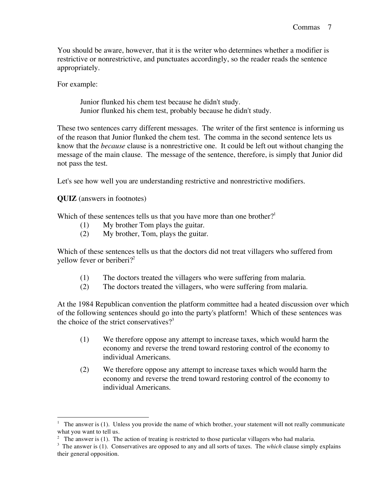You should be aware, however, that it is the writer who determines whether a modifier is restrictive or nonrestrictive, and punctuates accordingly, so the reader reads the sentence appropriately.

For example:

Junior flunked his chem test because he didn't study. Junior flunked his chem test, probably because he didn't study.

These two sentences carry different messages. The writer of the first sentence is informing us of the reason that Junior flunked the chem test. The comma in the second sentence lets us know that the *because* clause is a nonrestrictive one. It could be left out without changing the message of the main clause. The message of the sentence, therefore, is simply that Junior did not pass the test.

Let's see how well you are understanding restrictive and nonrestrictive modifiers.

**QUIZ** (answers in footnotes)

Which of these sentences tells us that you have more than one brother?<sup>1</sup>

- (1) My brother Tom plays the guitar.
- (2) My brother, Tom, plays the guitar.

Which of these sentences tells us that the doctors did not treat villagers who suffered from yellow fever or beriberi? 2

- (1) The doctors treated the villagers who were suffering from malaria.
- (2) The doctors treated the villagers, who were suffering from malaria.

At the 1984 Republican convention the platform committee had a heated discussion over which of the following sentences should go into the party's platform! Which of these sentences was the choice of the strict conservatives?<sup>3</sup>

- (1) We therefore oppose any attempt to increase taxes, which would harm the economy and reverse the trend toward restoring control of the economy to individual Americans.
- (2) We therefore oppose any attempt to increase taxes which would harm the economy and reverse the trend toward restoring control of the economy to individual Americans.

<sup>&</sup>lt;sup>1</sup> The answer is (1). Unless you provide the name of which brother, your statement will not really communicate what you want to tell us.

<sup>&</sup>lt;sup>2</sup> The answer is (1). The action of treating is restricted to those particular villagers who had malaria.

<sup>&</sup>lt;sup>3</sup> The answer is (1). Conservatives are opposed to any and all sorts of taxes. The *which* clause simply explains their general opposition.